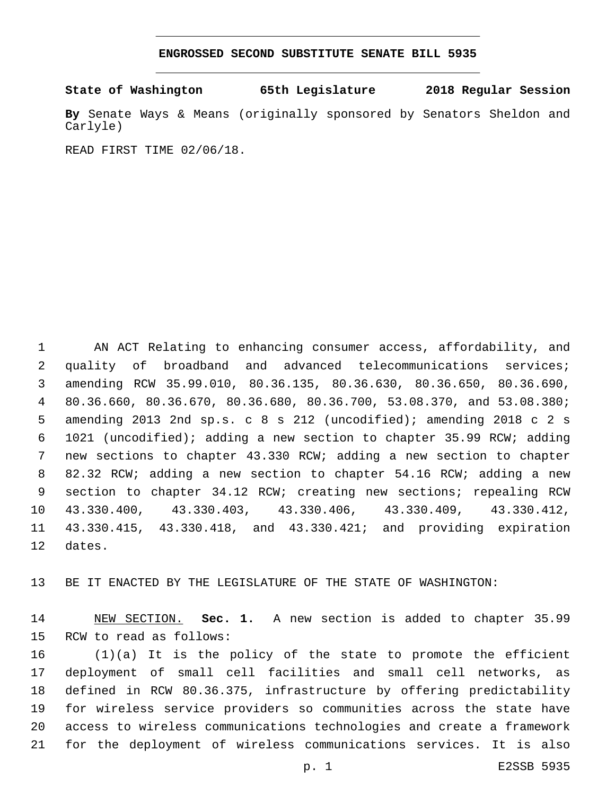## **ENGROSSED SECOND SUBSTITUTE SENATE BILL 5935**

**State of Washington 65th Legislature 2018 Regular Session**

**By** Senate Ways & Means (originally sponsored by Senators Sheldon and Carlyle)

READ FIRST TIME 02/06/18.

 AN ACT Relating to enhancing consumer access, affordability, and quality of broadband and advanced telecommunications services; amending RCW 35.99.010, 80.36.135, 80.36.630, 80.36.650, 80.36.690, 80.36.660, 80.36.670, 80.36.680, 80.36.700, 53.08.370, and 53.08.380; amending 2013 2nd sp.s. c 8 s 212 (uncodified); amending 2018 c 2 s 1021 (uncodified); adding a new section to chapter 35.99 RCW; adding new sections to chapter 43.330 RCW; adding a new section to chapter 82.32 RCW; adding a new section to chapter 54.16 RCW; adding a new 9 section to chapter 34.12 RCW; creating new sections; repealing RCW 43.330.400, 43.330.403, 43.330.406, 43.330.409, 43.330.412, 43.330.415, 43.330.418, and 43.330.421; and providing expiration 12 dates.

BE IT ENACTED BY THE LEGISLATURE OF THE STATE OF WASHINGTON:

 NEW SECTION. **Sec. 1.** A new section is added to chapter 35.99 15 RCW to read as follows:

 (1)(a) It is the policy of the state to promote the efficient deployment of small cell facilities and small cell networks, as defined in RCW 80.36.375, infrastructure by offering predictability for wireless service providers so communities across the state have access to wireless communications technologies and create a framework for the deployment of wireless communications services. It is also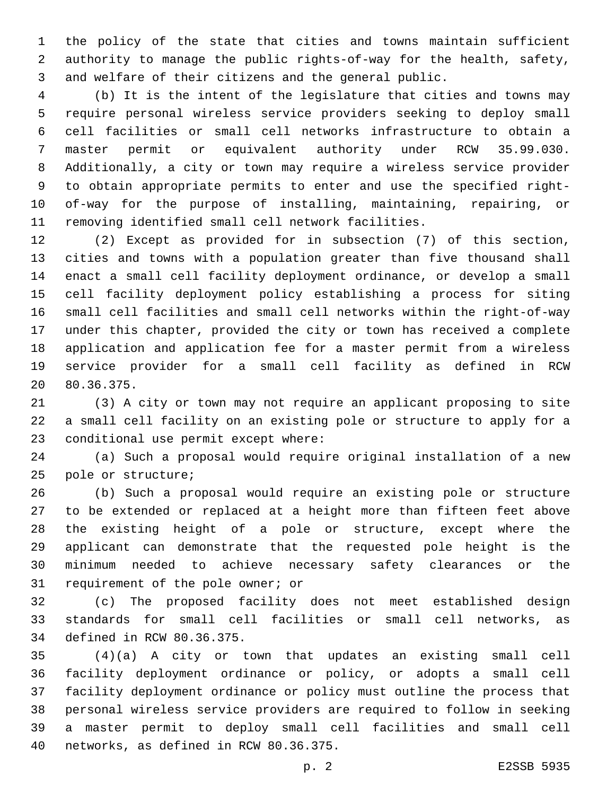the policy of the state that cities and towns maintain sufficient authority to manage the public rights-of-way for the health, safety, and welfare of their citizens and the general public.

 (b) It is the intent of the legislature that cities and towns may require personal wireless service providers seeking to deploy small cell facilities or small cell networks infrastructure to obtain a master permit or equivalent authority under RCW 35.99.030. Additionally, a city or town may require a wireless service provider to obtain appropriate permits to enter and use the specified right- of-way for the purpose of installing, maintaining, repairing, or removing identified small cell network facilities.

 (2) Except as provided for in subsection (7) of this section, cities and towns with a population greater than five thousand shall enact a small cell facility deployment ordinance, or develop a small cell facility deployment policy establishing a process for siting small cell facilities and small cell networks within the right-of-way under this chapter, provided the city or town has received a complete application and application fee for a master permit from a wireless service provider for a small cell facility as defined in RCW 80.36.375.20

 (3) A city or town may not require an applicant proposing to site a small cell facility on an existing pole or structure to apply for a 23 conditional use permit except where:

 (a) Such a proposal would require original installation of a new 25 pole or structure;

 (b) Such a proposal would require an existing pole or structure to be extended or replaced at a height more than fifteen feet above the existing height of a pole or structure, except where the applicant can demonstrate that the requested pole height is the minimum needed to achieve necessary safety clearances or the 31 requirement of the pole owner; or

 (c) The proposed facility does not meet established design standards for small cell facilities or small cell networks, as 34 defined in RCW 80.36.375.

 (4)(a) A city or town that updates an existing small cell facility deployment ordinance or policy, or adopts a small cell facility deployment ordinance or policy must outline the process that personal wireless service providers are required to follow in seeking a master permit to deploy small cell facilities and small cell 40 networks, as defined in RCW 80.36.375.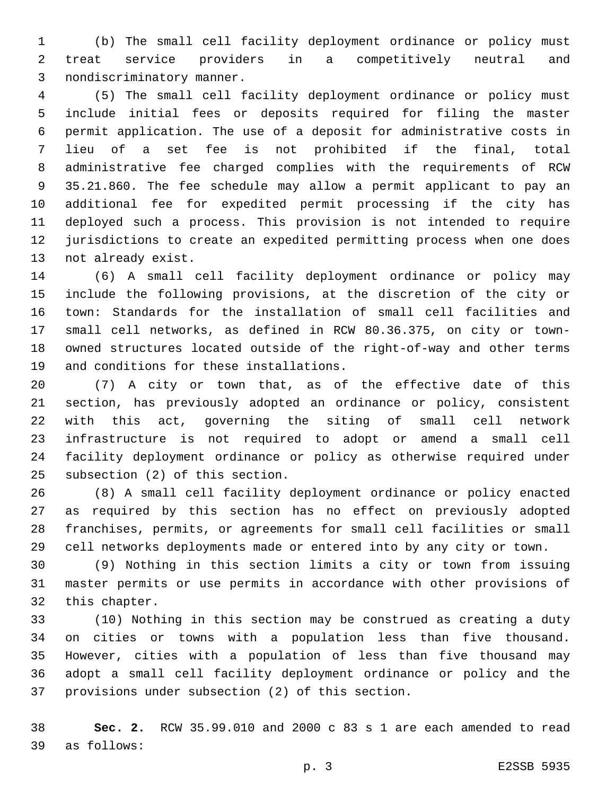(b) The small cell facility deployment ordinance or policy must treat service providers in a competitively neutral and 3 nondiscriminatory manner.

 (5) The small cell facility deployment ordinance or policy must include initial fees or deposits required for filing the master permit application. The use of a deposit for administrative costs in lieu of a set fee is not prohibited if the final, total administrative fee charged complies with the requirements of RCW 35.21.860. The fee schedule may allow a permit applicant to pay an additional fee for expedited permit processing if the city has deployed such a process. This provision is not intended to require jurisdictions to create an expedited permitting process when one does 13 not already exist.

 (6) A small cell facility deployment ordinance or policy may include the following provisions, at the discretion of the city or town: Standards for the installation of small cell facilities and small cell networks, as defined in RCW 80.36.375, on city or town- owned structures located outside of the right-of-way and other terms 19 and conditions for these installations.

 (7) A city or town that, as of the effective date of this section, has previously adopted an ordinance or policy, consistent with this act, governing the siting of small cell network infrastructure is not required to adopt or amend a small cell facility deployment ordinance or policy as otherwise required under 25 subsection (2) of this section.

 (8) A small cell facility deployment ordinance or policy enacted as required by this section has no effect on previously adopted franchises, permits, or agreements for small cell facilities or small cell networks deployments made or entered into by any city or town.

 (9) Nothing in this section limits a city or town from issuing master permits or use permits in accordance with other provisions of 32 this chapter.

 (10) Nothing in this section may be construed as creating a duty on cities or towns with a population less than five thousand. However, cities with a population of less than five thousand may adopt a small cell facility deployment ordinance or policy and the 37 provisions under subsection (2) of this section.

 **Sec. 2.** RCW 35.99.010 and 2000 c 83 s 1 are each amended to read as follows:39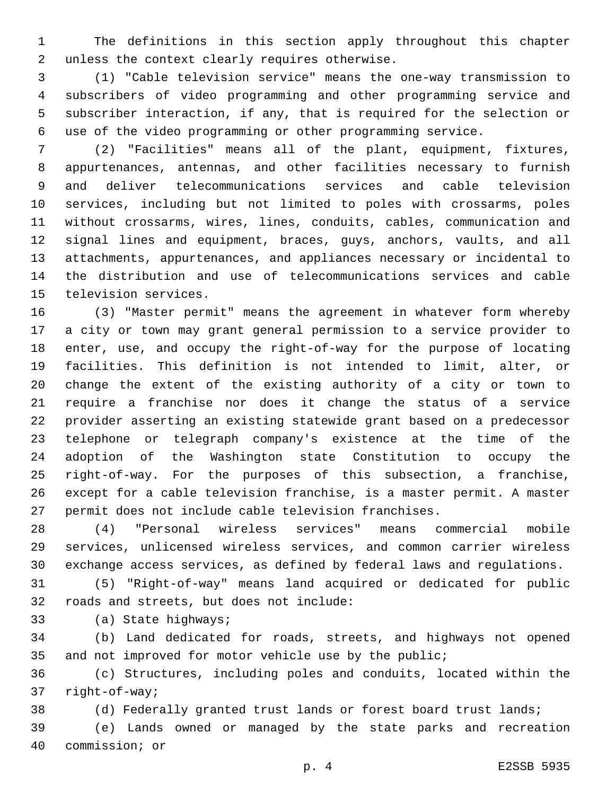The definitions in this section apply throughout this chapter 2 unless the context clearly requires otherwise.

 (1) "Cable television service" means the one-way transmission to subscribers of video programming and other programming service and subscriber interaction, if any, that is required for the selection or use of the video programming or other programming service.

 (2) "Facilities" means all of the plant, equipment, fixtures, appurtenances, antennas, and other facilities necessary to furnish and deliver telecommunications services and cable television services, including but not limited to poles with crossarms, poles without crossarms, wires, lines, conduits, cables, communication and signal lines and equipment, braces, guys, anchors, vaults, and all attachments, appurtenances, and appliances necessary or incidental to the distribution and use of telecommunications services and cable 15 television services.

 (3) "Master permit" means the agreement in whatever form whereby a city or town may grant general permission to a service provider to enter, use, and occupy the right-of-way for the purpose of locating facilities. This definition is not intended to limit, alter, or change the extent of the existing authority of a city or town to require a franchise nor does it change the status of a service provider asserting an existing statewide grant based on a predecessor telephone or telegraph company's existence at the time of the adoption of the Washington state Constitution to occupy the right-of-way. For the purposes of this subsection, a franchise, except for a cable television franchise, is a master permit. A master permit does not include cable television franchises.

 (4) "Personal wireless services" means commercial mobile services, unlicensed wireless services, and common carrier wireless exchange access services, as defined by federal laws and regulations.

 (5) "Right-of-way" means land acquired or dedicated for public 32 roads and streets, but does not include:

33 (a) State highways;

 (b) Land dedicated for roads, streets, and highways not opened 35 and not improved for motor vehicle use by the public;

 (c) Structures, including poles and conduits, located within the 37 right-of-way;

(d) Federally granted trust lands or forest board trust lands;

 (e) Lands owned or managed by the state parks and recreation 40 commission; or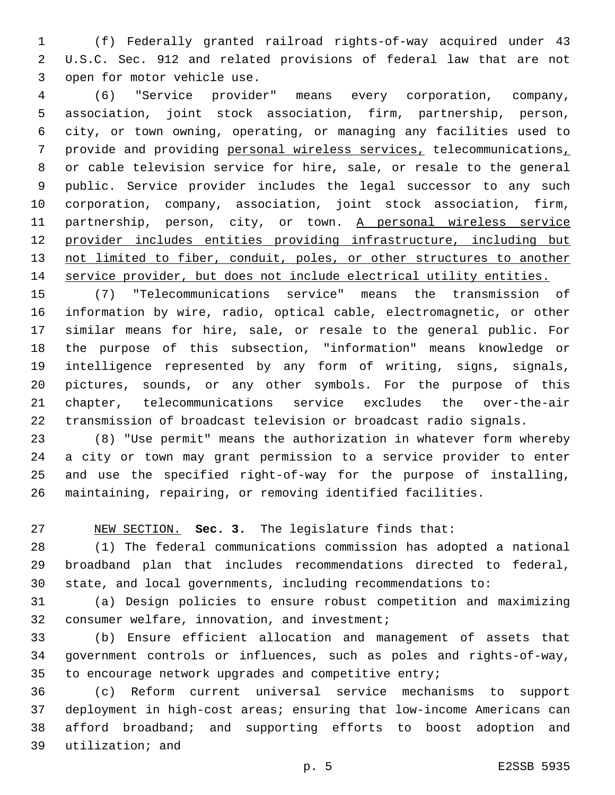(f) Federally granted railroad rights-of-way acquired under 43 U.S.C. Sec. 912 and related provisions of federal law that are not 3 open for motor vehicle use.

 (6) "Service provider" means every corporation, company, association, joint stock association, firm, partnership, person, city, or town owning, operating, or managing any facilities used to provide and providing personal wireless services, telecommunications, or cable television service for hire, sale, or resale to the general public. Service provider includes the legal successor to any such corporation, company, association, joint stock association, firm, 11 partnership, person, city, or town. A personal wireless service provider includes entities providing infrastructure, including but 13 not limited to fiber, conduit, poles, or other structures to another service provider, but does not include electrical utility entities.

 (7) "Telecommunications service" means the transmission of information by wire, radio, optical cable, electromagnetic, or other similar means for hire, sale, or resale to the general public. For the purpose of this subsection, "information" means knowledge or intelligence represented by any form of writing, signs, signals, pictures, sounds, or any other symbols. For the purpose of this chapter, telecommunications service excludes the over-the-air transmission of broadcast television or broadcast radio signals.

 (8) "Use permit" means the authorization in whatever form whereby a city or town may grant permission to a service provider to enter and use the specified right-of-way for the purpose of installing, maintaining, repairing, or removing identified facilities.

NEW SECTION. **Sec. 3.** The legislature finds that:

 (1) The federal communications commission has adopted a national broadband plan that includes recommendations directed to federal, state, and local governments, including recommendations to:

 (a) Design policies to ensure robust competition and maximizing 32 consumer welfare, innovation, and investment;

 (b) Ensure efficient allocation and management of assets that government controls or influences, such as poles and rights-of-way, to encourage network upgrades and competitive entry;

 (c) Reform current universal service mechanisms to support deployment in high-cost areas; ensuring that low-income Americans can afford broadband; and supporting efforts to boost adoption and 39 utilization; and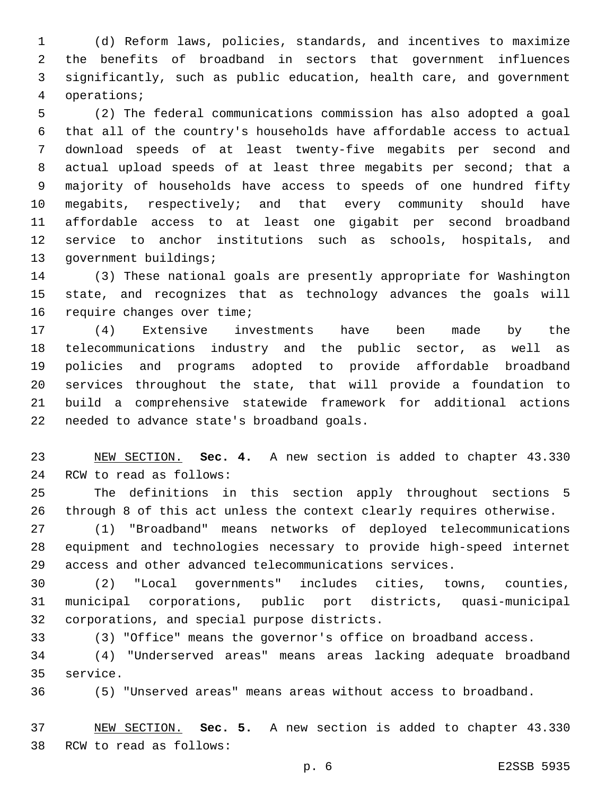(d) Reform laws, policies, standards, and incentives to maximize the benefits of broadband in sectors that government influences significantly, such as public education, health care, and government operations;4

 (2) The federal communications commission has also adopted a goal that all of the country's households have affordable access to actual download speeds of at least twenty-five megabits per second and actual upload speeds of at least three megabits per second; that a majority of households have access to speeds of one hundred fifty megabits, respectively; and that every community should have affordable access to at least one gigabit per second broadband service to anchor institutions such as schools, hospitals, and 13 government buildings;

 (3) These national goals are presently appropriate for Washington state, and recognizes that as technology advances the goals will 16 require changes over time;

 (4) Extensive investments have been made by the telecommunications industry and the public sector, as well as policies and programs adopted to provide affordable broadband services throughout the state, that will provide a foundation to build a comprehensive statewide framework for additional actions 22 needed to advance state's broadband goals.

 NEW SECTION. **Sec. 4.** A new section is added to chapter 43.330 24 RCW to read as follows:

 The definitions in this section apply throughout sections 5 through 8 of this act unless the context clearly requires otherwise.

 (1) "Broadband" means networks of deployed telecommunications equipment and technologies necessary to provide high-speed internet access and other advanced telecommunications services.

 (2) "Local governments" includes cities, towns, counties, municipal corporations, public port districts, quasi-municipal 32 corporations, and special purpose districts.

(3) "Office" means the governor's office on broadband access.

 (4) "Underserved areas" means areas lacking adequate broadband 35 service.

(5) "Unserved areas" means areas without access to broadband.

 NEW SECTION. **Sec. 5.** A new section is added to chapter 43.330 38 RCW to read as follows: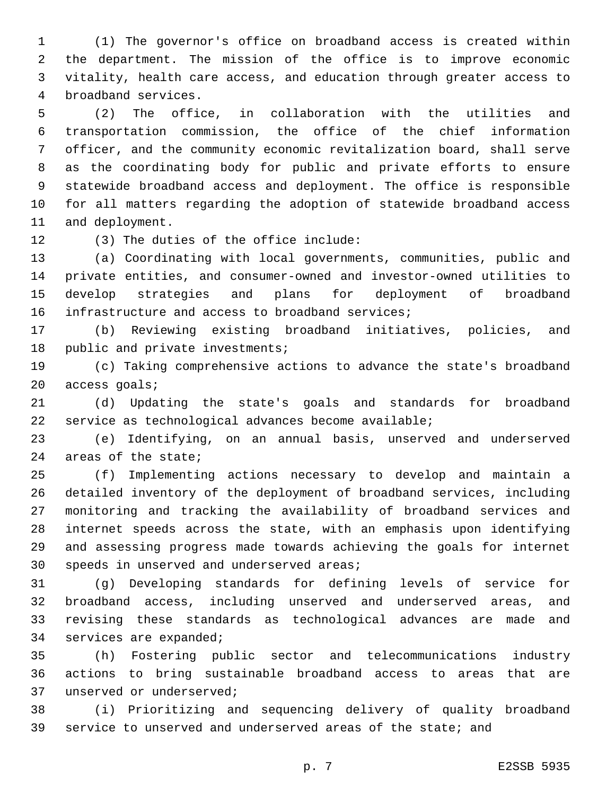(1) The governor's office on broadband access is created within the department. The mission of the office is to improve economic vitality, health care access, and education through greater access to 4 broadband services.

 (2) The office, in collaboration with the utilities and transportation commission, the office of the chief information officer, and the community economic revitalization board, shall serve as the coordinating body for public and private efforts to ensure statewide broadband access and deployment. The office is responsible for all matters regarding the adoption of statewide broadband access 11 and deployment.

12 (3) The duties of the office include:

 (a) Coordinating with local governments, communities, public and private entities, and consumer-owned and investor-owned utilities to develop strategies and plans for deployment of broadband 16 infrastructure and access to broadband services;

 (b) Reviewing existing broadband initiatives, policies, and 18 public and private investments;

 (c) Taking comprehensive actions to advance the state's broadband 20 access goals;

 (d) Updating the state's goals and standards for broadband service as technological advances become available;

 (e) Identifying, on an annual basis, unserved and underserved 24 areas of the state;

 (f) Implementing actions necessary to develop and maintain a detailed inventory of the deployment of broadband services, including monitoring and tracking the availability of broadband services and internet speeds across the state, with an emphasis upon identifying and assessing progress made towards achieving the goals for internet 30 speeds in unserved and underserved areas;

 (g) Developing standards for defining levels of service for broadband access, including unserved and underserved areas, and revising these standards as technological advances are made and 34 services are expanded;

 (h) Fostering public sector and telecommunications industry actions to bring sustainable broadband access to areas that are 37 unserved or underserved;

 (i) Prioritizing and sequencing delivery of quality broadband service to unserved and underserved areas of the state; and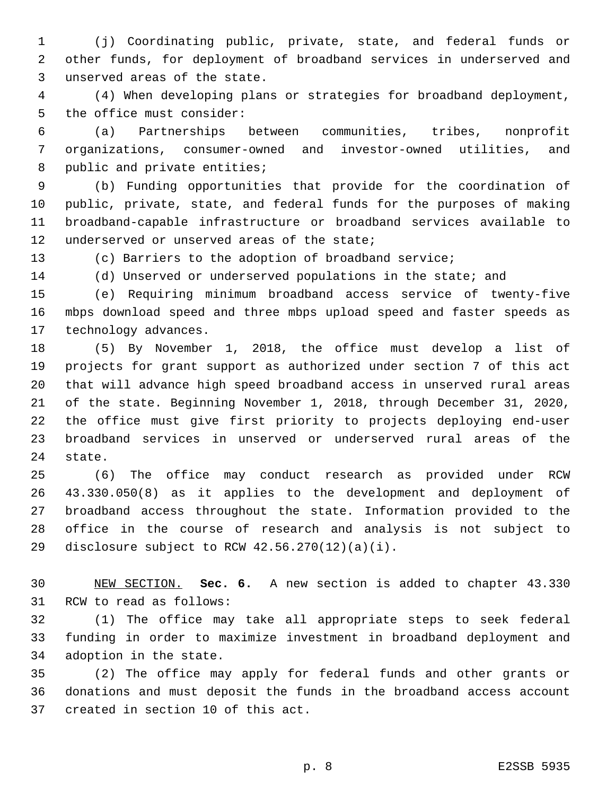(j) Coordinating public, private, state, and federal funds or other funds, for deployment of broadband services in underserved and 3 unserved areas of the state.

 (4) When developing plans or strategies for broadband deployment, 5 the office must consider:

 (a) Partnerships between communities, tribes, nonprofit organizations, consumer-owned and investor-owned utilities, and 8 public and private entities;

 (b) Funding opportunities that provide for the coordination of public, private, state, and federal funds for the purposes of making broadband-capable infrastructure or broadband services available to 12 underserved or unserved areas of the state;

(c) Barriers to the adoption of broadband service;

(d) Unserved or underserved populations in the state; and

 (e) Requiring minimum broadband access service of twenty-five mbps download speed and three mbps upload speed and faster speeds as 17 technology advances.

 (5) By November 1, 2018, the office must develop a list of projects for grant support as authorized under section 7 of this act that will advance high speed broadband access in unserved rural areas of the state. Beginning November 1, 2018, through December 31, 2020, the office must give first priority to projects deploying end-user broadband services in unserved or underserved rural areas of the 24 state.

 (6) The office may conduct research as provided under RCW 43.330.050(8) as it applies to the development and deployment of broadband access throughout the state. Information provided to the office in the course of research and analysis is not subject to 29 disclosure subject to RCW  $42.56.270(12)(a)(i)$ .

 NEW SECTION. **Sec. 6.** A new section is added to chapter 43.330 31 RCW to read as follows:

 (1) The office may take all appropriate steps to seek federal funding in order to maximize investment in broadband deployment and 34 adoption in the state.

 (2) The office may apply for federal funds and other grants or donations and must deposit the funds in the broadband access account 37 created in section 10 of this act.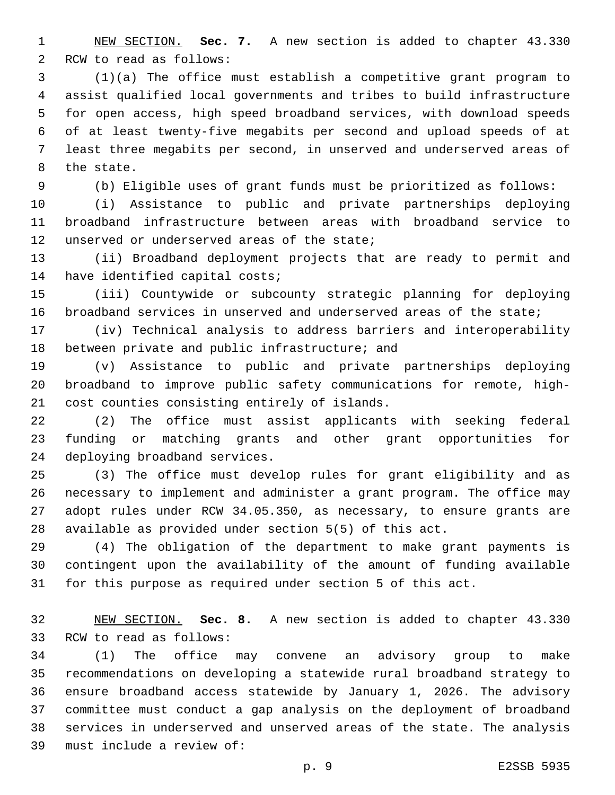NEW SECTION. **Sec. 7.** A new section is added to chapter 43.330 2 RCW to read as follows:

 (1)(a) The office must establish a competitive grant program to assist qualified local governments and tribes to build infrastructure for open access, high speed broadband services, with download speeds of at least twenty-five megabits per second and upload speeds of at least three megabits per second, in unserved and underserved areas of 8 the state.

(b) Eligible uses of grant funds must be prioritized as follows:

 (i) Assistance to public and private partnerships deploying broadband infrastructure between areas with broadband service to 12 unserved or underserved areas of the state;

 (ii) Broadband deployment projects that are ready to permit and 14 have identified capital costs;

 (iii) Countywide or subcounty strategic planning for deploying broadband services in unserved and underserved areas of the state;

 (iv) Technical analysis to address barriers and interoperability 18 between private and public infrastructure; and

 (v) Assistance to public and private partnerships deploying broadband to improve public safety communications for remote, high-21 cost counties consisting entirely of islands.

 (2) The office must assist applicants with seeking federal funding or matching grants and other grant opportunities for 24 deploying broadband services.

 (3) The office must develop rules for grant eligibility and as necessary to implement and administer a grant program. The office may adopt rules under RCW 34.05.350, as necessary, to ensure grants are available as provided under section 5(5) of this act.

 (4) The obligation of the department to make grant payments is contingent upon the availability of the amount of funding available for this purpose as required under section 5 of this act.

 NEW SECTION. **Sec. 8.** A new section is added to chapter 43.330 33 RCW to read as follows:

 (1) The office may convene an advisory group to make recommendations on developing a statewide rural broadband strategy to ensure broadband access statewide by January 1, 2026. The advisory committee must conduct a gap analysis on the deployment of broadband services in underserved and unserved areas of the state. The analysis 39 must include a review of: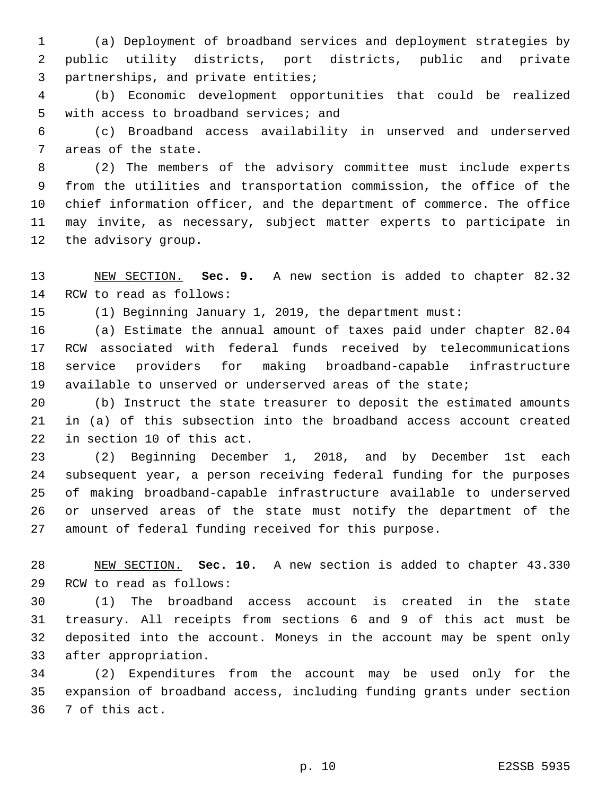(a) Deployment of broadband services and deployment strategies by public utility districts, port districts, public and private 3 partnerships, and private entities;

 (b) Economic development opportunities that could be realized 5 with access to broadband services; and

 (c) Broadband access availability in unserved and underserved 7 areas of the state.

 (2) The members of the advisory committee must include experts from the utilities and transportation commission, the office of the chief information officer, and the department of commerce. The office may invite, as necessary, subject matter experts to participate in 12 the advisory group.

 NEW SECTION. **Sec. 9.** A new section is added to chapter 82.32 14 RCW to read as follows:

(1) Beginning January 1, 2019, the department must:

 (a) Estimate the annual amount of taxes paid under chapter 82.04 RCW associated with federal funds received by telecommunications service providers for making broadband-capable infrastructure available to unserved or underserved areas of the state;

 (b) Instruct the state treasurer to deposit the estimated amounts in (a) of this subsection into the broadband access account created 22 in section 10 of this act.

 (2) Beginning December 1, 2018, and by December 1st each subsequent year, a person receiving federal funding for the purposes of making broadband-capable infrastructure available to underserved or unserved areas of the state must notify the department of the amount of federal funding received for this purpose.

 NEW SECTION. **Sec. 10.** A new section is added to chapter 43.330 29 RCW to read as follows:

 (1) The broadband access account is created in the state treasury. All receipts from sections 6 and 9 of this act must be deposited into the account. Moneys in the account may be spent only 33 after appropriation.

 (2) Expenditures from the account may be used only for the expansion of broadband access, including funding grants under section 36 7 of this act.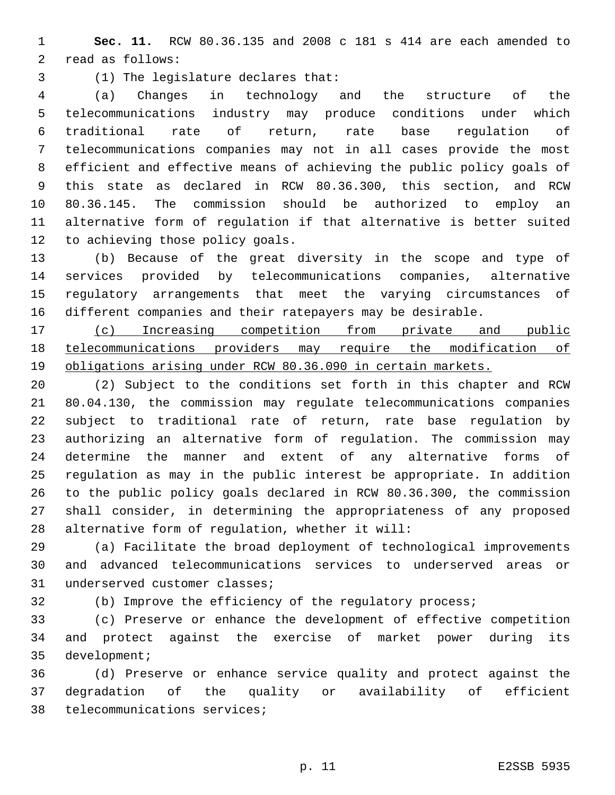**Sec. 11.** RCW 80.36.135 and 2008 c 181 s 414 are each amended to 2 read as follows:

(1) The legislature declares that:3

 (a) Changes in technology and the structure of the telecommunications industry may produce conditions under which traditional rate of return, rate base regulation of telecommunications companies may not in all cases provide the most efficient and effective means of achieving the public policy goals of this state as declared in RCW 80.36.300, this section, and RCW 80.36.145. The commission should be authorized to employ an alternative form of regulation if that alternative is better suited 12 to achieving those policy goals.

 (b) Because of the great diversity in the scope and type of services provided by telecommunications companies, alternative regulatory arrangements that meet the varying circumstances of different companies and their ratepayers may be desirable.

 (c) Increasing competition from private and public telecommunications providers may require the modification of obligations arising under RCW 80.36.090 in certain markets.

 (2) Subject to the conditions set forth in this chapter and RCW 80.04.130, the commission may regulate telecommunications companies subject to traditional rate of return, rate base regulation by authorizing an alternative form of regulation. The commission may determine the manner and extent of any alternative forms of regulation as may in the public interest be appropriate. In addition to the public policy goals declared in RCW 80.36.300, the commission shall consider, in determining the appropriateness of any proposed 28 alternative form of regulation, whether it will:

 (a) Facilitate the broad deployment of technological improvements and advanced telecommunications services to underserved areas or 31 underserved customer classes;

(b) Improve the efficiency of the regulatory process;

 (c) Preserve or enhance the development of effective competition and protect against the exercise of market power during its 35 development;

 (d) Preserve or enhance service quality and protect against the degradation of the quality or availability of efficient 38 telecommunications services;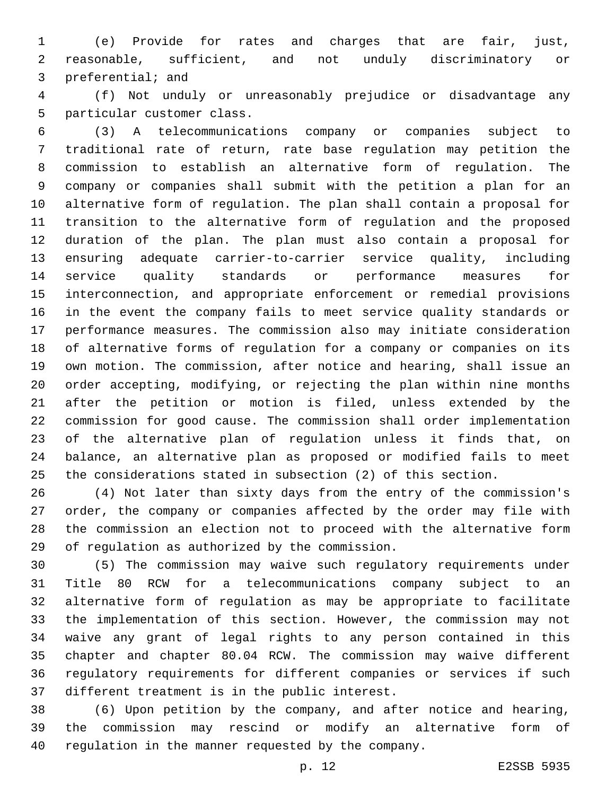(e) Provide for rates and charges that are fair, just, reasonable, sufficient, and not unduly discriminatory or 3 preferential; and

 (f) Not unduly or unreasonably prejudice or disadvantage any 5 particular customer class.

 (3) A telecommunications company or companies subject to traditional rate of return, rate base regulation may petition the commission to establish an alternative form of regulation. The company or companies shall submit with the petition a plan for an alternative form of regulation. The plan shall contain a proposal for transition to the alternative form of regulation and the proposed duration of the plan. The plan must also contain a proposal for ensuring adequate carrier-to-carrier service quality, including service quality standards or performance measures for interconnection, and appropriate enforcement or remedial provisions in the event the company fails to meet service quality standards or performance measures. The commission also may initiate consideration of alternative forms of regulation for a company or companies on its own motion. The commission, after notice and hearing, shall issue an order accepting, modifying, or rejecting the plan within nine months after the petition or motion is filed, unless extended by the commission for good cause. The commission shall order implementation of the alternative plan of regulation unless it finds that, on balance, an alternative plan as proposed or modified fails to meet the considerations stated in subsection (2) of this section.

 (4) Not later than sixty days from the entry of the commission's order, the company or companies affected by the order may file with the commission an election not to proceed with the alternative form 29 of regulation as authorized by the commission.

 (5) The commission may waive such regulatory requirements under Title 80 RCW for a telecommunications company subject to an alternative form of regulation as may be appropriate to facilitate the implementation of this section. However, the commission may not waive any grant of legal rights to any person contained in this chapter and chapter 80.04 RCW. The commission may waive different regulatory requirements for different companies or services if such 37 different treatment is in the public interest.

 (6) Upon petition by the company, and after notice and hearing, the commission may rescind or modify an alternative form of regulation in the manner requested by the company.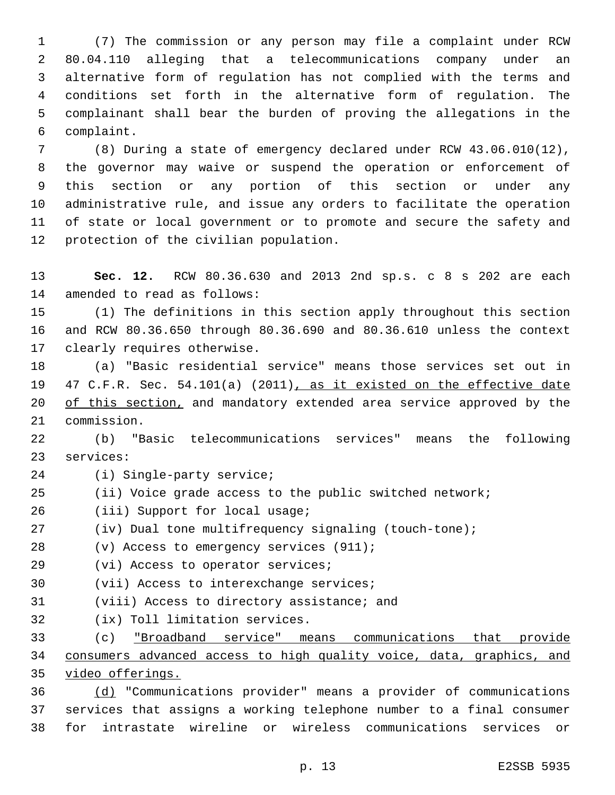(7) The commission or any person may file a complaint under RCW 80.04.110 alleging that a telecommunications company under an alternative form of regulation has not complied with the terms and conditions set forth in the alternative form of regulation. The complainant shall bear the burden of proving the allegations in the complaint.6

 (8) During a state of emergency declared under RCW 43.06.010(12), the governor may waive or suspend the operation or enforcement of this section or any portion of this section or under any administrative rule, and issue any orders to facilitate the operation of state or local government or to promote and secure the safety and 12 protection of the civilian population.

 **Sec. 12.** RCW 80.36.630 and 2013 2nd sp.s. c 8 s 202 are each 14 amended to read as follows:

 (1) The definitions in this section apply throughout this section and RCW 80.36.650 through 80.36.690 and 80.36.610 unless the context 17 clearly requires otherwise.

 (a) "Basic residential service" means those services set out in 47 C.F.R. Sec. 54.101(a) (2011), as it existed on the effective date 20 of this section, and mandatory extended area service approved by the 21 commission.

 (b) "Basic telecommunications services" means the following 23 services:

- 24 (i) Single-party service;
- (ii) Voice grade access to the public switched network;
- 26 (iii) Support for local usage;
- (iv) Dual tone multifrequency signaling (touch-tone);
- (v) Access to emergency services (911);
- 29 (vi) Access to operator services;
- 30 (vii) Access to interexchange services;
- 31 (viii) Access to directory assistance; and
- 32 (ix) Toll limitation services.

 (c) "Broadband service" means communications that provide consumers advanced access to high quality voice, data, graphics, and video offerings.

 (d) "Communications provider" means a provider of communications services that assigns a working telephone number to a final consumer for intrastate wireline or wireless communications services or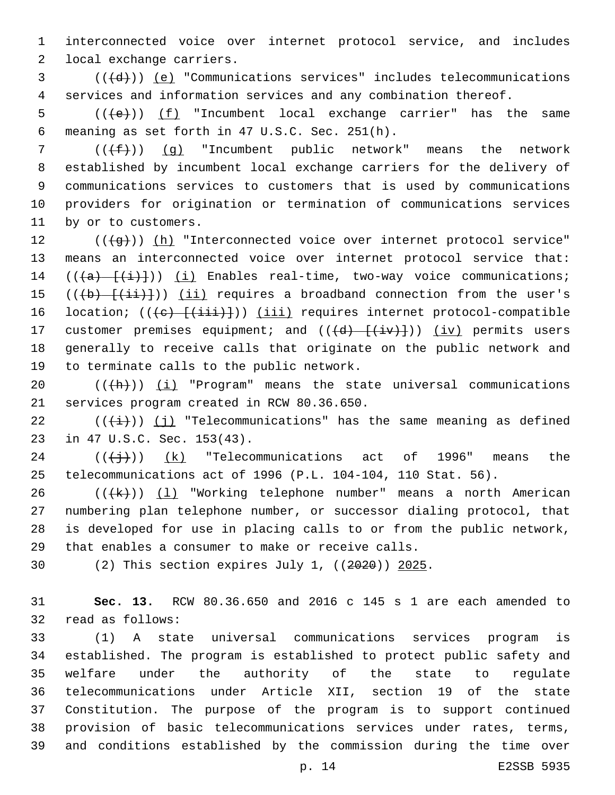1 interconnected voice over internet protocol service, and includes 2 local exchange carriers.

 $3$  ( $(\overline{d})$ ) <u>(e)</u> "Communications services" includes telecommunications 4 services and information services and any combination thereof.

5 ( $(\left\langle e \right\rangle)$ ) (f) "Incumbent local exchange carrier" has the same meaning as set forth in 47 U.S.C. Sec. 251(h).6

7 ( $(\{\pm\})$ ) (q) "Incumbent public network" means the network 8 established by incumbent local exchange carriers for the delivery of 9 communications services to customers that is used by communications 10 providers for origination or termination of communications services 11 by or to customers.

12 (((g)) (h) "Interconnected voice over internet protocol service" 13 means an interconnected voice over internet protocol service that: 14  $((a)$   $\{i\})$   $(i)$  Enables real-time, two-way voice communications; 15 ( $(\overline{(b)} + \overline{(\overline{ii})})$ ) (ii) requires a broadband connection from the user's 16 location; (((e) [(iii)])) (iii) requires internet protocol-compatible 17 customer premises equipment; and  $((\overline{d}) - (\overline{i}v)+))$  (iv) permits users 18 generally to receive calls that originate on the public network and 19 to terminate calls to the public network.

20  $((+h))$  (i) "Program" means the state universal communications 21 services program created in RCW 80.36.650.

22  $((\overrightarrow{i}))$  (j) "Telecommunications" has the same meaning as defined 23 in 47 U.S.C. Sec. 153(43).

 $24$  ( $(\frac{+}{3})$ )  $(k)$  "Telecommunications act of 1996" means the 25 telecommunications act of 1996 (P.L. 104-104, 110 Stat. 56).

 $((+k))$   $(1)$  "Working telephone number" means a north American numbering plan telephone number, or successor dialing protocol, that is developed for use in placing calls to or from the public network, 29 that enables a consumer to make or receive calls.

30 (2) This section expires July 1, ((2020)) 2025.

31 **Sec. 13.** RCW 80.36.650 and 2016 c 145 s 1 are each amended to 32 read as follows:

 (1) A state universal communications services program is established. The program is established to protect public safety and welfare under the authority of the state to regulate telecommunications under Article XII, section 19 of the state Constitution. The purpose of the program is to support continued provision of basic telecommunications services under rates, terms, and conditions established by the commission during the time over

p. 14 E2SSB 5935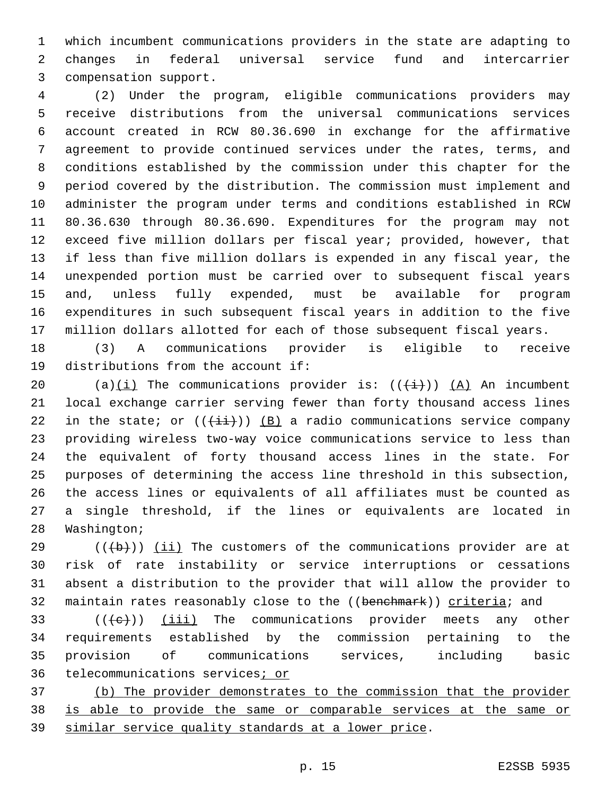which incumbent communications providers in the state are adapting to changes in federal universal service fund and intercarrier 3 compensation support.

 (2) Under the program, eligible communications providers may receive distributions from the universal communications services account created in RCW 80.36.690 in exchange for the affirmative agreement to provide continued services under the rates, terms, and conditions established by the commission under this chapter for the period covered by the distribution. The commission must implement and administer the program under terms and conditions established in RCW 80.36.630 through 80.36.690. Expenditures for the program may not exceed five million dollars per fiscal year; provided, however, that if less than five million dollars is expended in any fiscal year, the unexpended portion must be carried over to subsequent fiscal years and, unless fully expended, must be available for program expenditures in such subsequent fiscal years in addition to the five million dollars allotted for each of those subsequent fiscal years.

 (3) A communications provider is eligible to receive 19 distributions from the account if:

20 (a)(i) The communications provider is:  $((\frac{1}{1}))(A)$  An incumbent local exchange carrier serving fewer than forty thousand access lines 22 in the state; or  $((+i+))$  (B) a radio communications service company providing wireless two-way voice communications service to less than the equivalent of forty thousand access lines in the state. For purposes of determining the access line threshold in this subsection, the access lines or equivalents of all affiliates must be counted as a single threshold, if the lines or equivalents are located in 28 Washington;

 (( $\left(\frac{1}{10}\right)$ ) (ii) The customers of the communications provider are at risk of rate instability or service interruptions or cessations absent a distribution to the provider that will allow the provider to 32 maintain rates reasonably close to the ((benehmark)) criteria; and

 $((+e))$  (iii) The communications provider meets any other requirements established by the commission pertaining to the provision of communications services, including basic 36 telecommunications services; or

 (b) The provider demonstrates to the commission that the provider is able to provide the same or comparable services at the same or similar service quality standards at a lower price.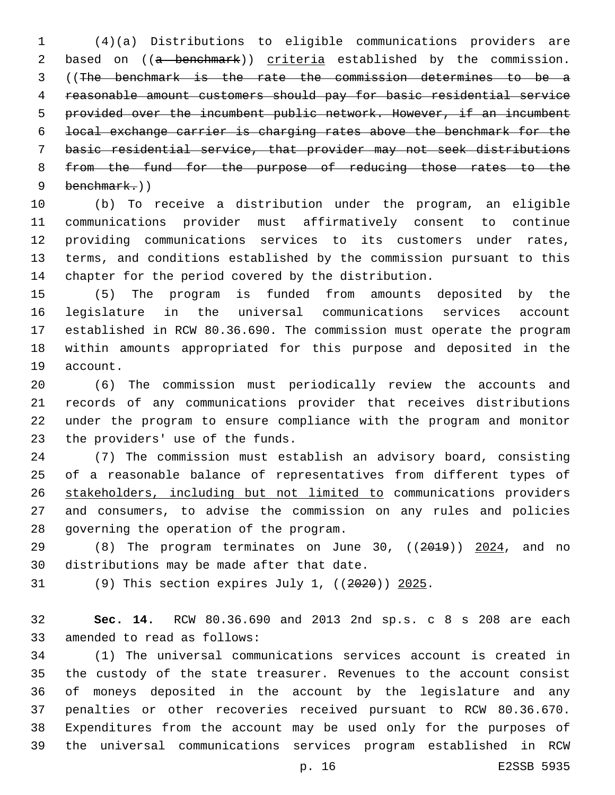(4)(a) Distributions to eligible communications providers are 2 based on ((a benchmark)) criteria established by the commission. ((The benchmark is the rate the commission determines to be a reasonable amount customers should pay for basic residential service provided over the incumbent public network. However, if an incumbent local exchange carrier is charging rates above the benchmark for the basic residential service, that provider may not seek distributions 8 from the fund for the purpose of reducing those rates to the 9 benchmark.))

 (b) To receive a distribution under the program, an eligible communications provider must affirmatively consent to continue providing communications services to its customers under rates, terms, and conditions established by the commission pursuant to this chapter for the period covered by the distribution.

 (5) The program is funded from amounts deposited by the legislature in the universal communications services account established in RCW 80.36.690. The commission must operate the program within amounts appropriated for this purpose and deposited in the 19 account.

 (6) The commission must periodically review the accounts and records of any communications provider that receives distributions under the program to ensure compliance with the program and monitor 23 the providers' use of the funds.

 (7) The commission must establish an advisory board, consisting of a reasonable balance of representatives from different types of stakeholders, including but not limited to communications providers and consumers, to advise the commission on any rules and policies 28 governing the operation of the program.

29 (8) The program terminates on June 30, ((2019)) 2024, and no 30 distributions may be made after that date.

(9) This section expires July 1, ((2020)) 2025.

 **Sec. 14.** RCW 80.36.690 and 2013 2nd sp.s. c 8 s 208 are each 33 amended to read as follows:

 (1) The universal communications services account is created in the custody of the state treasurer. Revenues to the account consist of moneys deposited in the account by the legislature and any penalties or other recoveries received pursuant to RCW 80.36.670. Expenditures from the account may be used only for the purposes of the universal communications services program established in RCW

p. 16 E2SSB 5935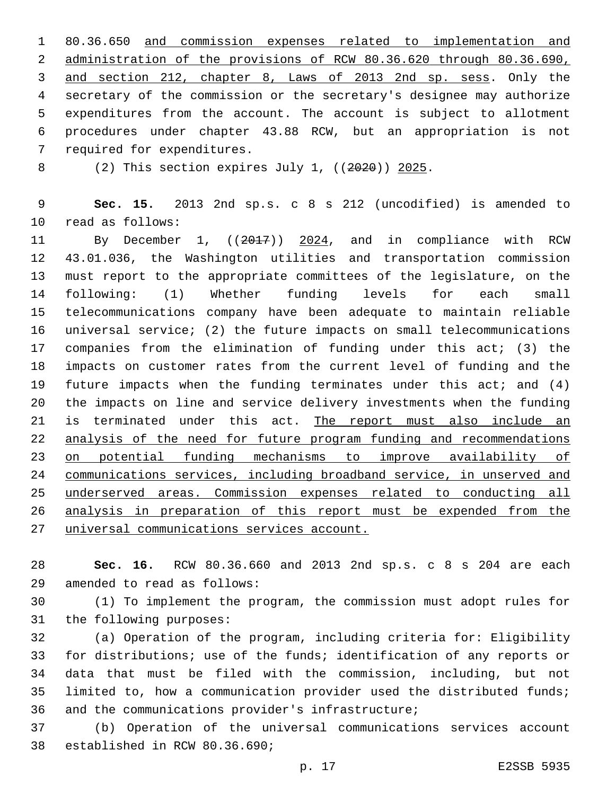80.36.650 and commission expenses related to implementation and administration of the provisions of RCW 80.36.620 through 80.36.690, and section 212, chapter 8, Laws of 2013 2nd sp. sess. Only the secretary of the commission or the secretary's designee may authorize expenditures from the account. The account is subject to allotment procedures under chapter 43.88 RCW, but an appropriation is not 7 required for expenditures.

(2) This section expires July 1, ((2020)) 2025.

 **Sec. 15.** 2013 2nd sp.s. c 8 s 212 (uncodified) is amended to 10 read as follows:

 By December 1, ((2017)) 2024, and in compliance with RCW 43.01.036, the Washington utilities and transportation commission must report to the appropriate committees of the legislature, on the following: (1) Whether funding levels for each small telecommunications company have been adequate to maintain reliable universal service; (2) the future impacts on small telecommunications companies from the elimination of funding under this act; (3) the impacts on customer rates from the current level of funding and the future impacts when the funding terminates under this act; and (4) the impacts on line and service delivery investments when the funding is terminated under this act. The report must also include an analysis of the need for future program funding and recommendations on potential funding mechanisms to improve availability of communications services, including broadband service, in unserved and underserved areas. Commission expenses related to conducting all analysis in preparation of this report must be expended from the universal communications services account.

 **Sec. 16.** RCW 80.36.660 and 2013 2nd sp.s. c 8 s 204 are each 29 amended to read as follows:

 (1) To implement the program, the commission must adopt rules for 31 the following purposes:

 (a) Operation of the program, including criteria for: Eligibility for distributions; use of the funds; identification of any reports or data that must be filed with the commission, including, but not limited to, how a communication provider used the distributed funds; 36 and the communications provider's infrastructure;

 (b) Operation of the universal communications services account 38 established in RCW 80.36.690;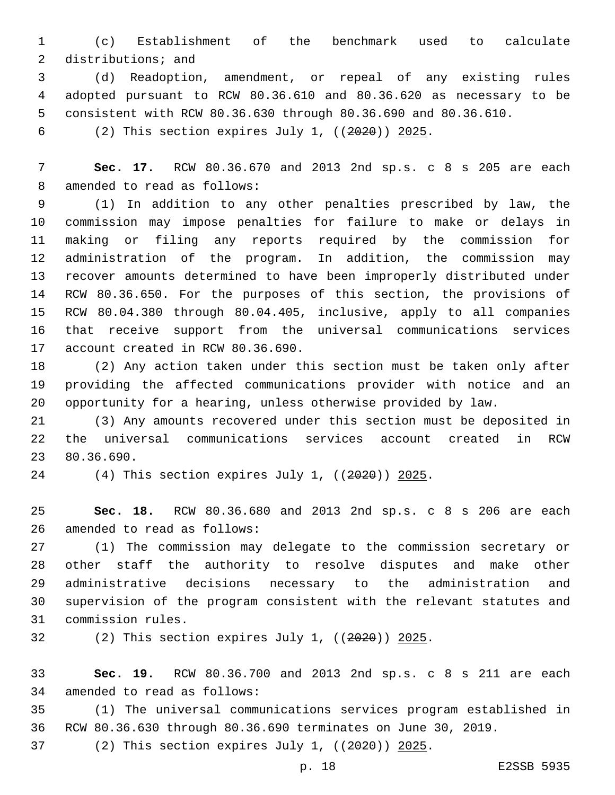(c) Establishment of the benchmark used to calculate 2 distributions; and

 (d) Readoption, amendment, or repeal of any existing rules adopted pursuant to RCW 80.36.610 and 80.36.620 as necessary to be consistent with RCW 80.36.630 through 80.36.690 and 80.36.610.

(2) This section expires July 1, ((2020)) 2025.

 **Sec. 17.** RCW 80.36.670 and 2013 2nd sp.s. c 8 s 205 are each 8 amended to read as follows:

 (1) In addition to any other penalties prescribed by law, the commission may impose penalties for failure to make or delays in making or filing any reports required by the commission for administration of the program. In addition, the commission may recover amounts determined to have been improperly distributed under RCW 80.36.650. For the purposes of this section, the provisions of RCW 80.04.380 through 80.04.405, inclusive, apply to all companies that receive support from the universal communications services 17 account created in RCW 80.36.690.

 (2) Any action taken under this section must be taken only after providing the affected communications provider with notice and an opportunity for a hearing, unless otherwise provided by law.

 (3) Any amounts recovered under this section must be deposited in the universal communications services account created in RCW 23 80.36.690.

(4) This section expires July 1, ((2020)) 2025.

 **Sec. 18.** RCW 80.36.680 and 2013 2nd sp.s. c 8 s 206 are each 26 amended to read as follows:

 (1) The commission may delegate to the commission secretary or other staff the authority to resolve disputes and make other administrative decisions necessary to the administration and supervision of the program consistent with the relevant statutes and 31 commission rules.

(2) This section expires July 1, ((2020)) 2025.

 **Sec. 19.** RCW 80.36.700 and 2013 2nd sp.s. c 8 s 211 are each 34 amended to read as follows:

 (1) The universal communications services program established in RCW 80.36.630 through 80.36.690 terminates on June 30, 2019.

(2) This section expires July 1, ((2020)) 2025.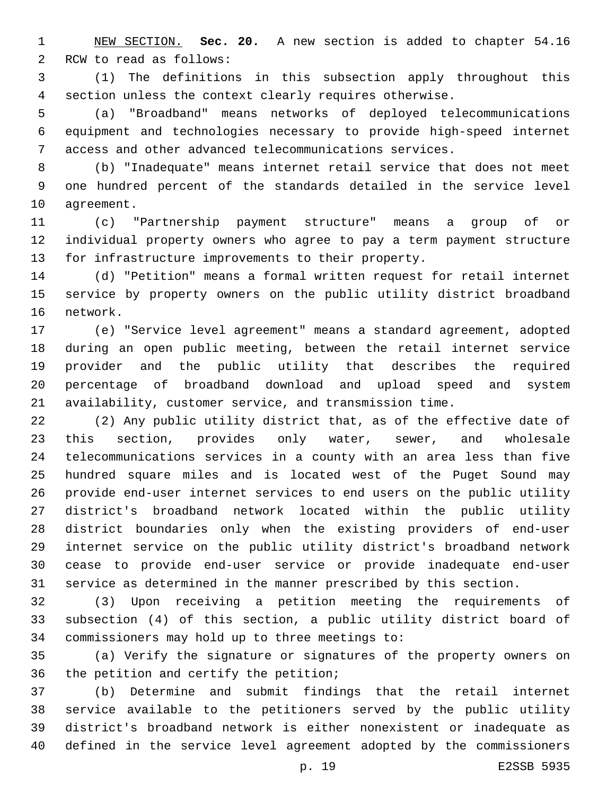NEW SECTION. **Sec. 20.** A new section is added to chapter 54.16 2 RCW to read as follows:

 (1) The definitions in this subsection apply throughout this section unless the context clearly requires otherwise.

 (a) "Broadband" means networks of deployed telecommunications equipment and technologies necessary to provide high-speed internet access and other advanced telecommunications services.

 (b) "Inadequate" means internet retail service that does not meet one hundred percent of the standards detailed in the service level 10 agreement.

 (c) "Partnership payment structure" means a group of or individual property owners who agree to pay a term payment structure for infrastructure improvements to their property.

 (d) "Petition" means a formal written request for retail internet service by property owners on the public utility district broadband 16 network.

 (e) "Service level agreement" means a standard agreement, adopted during an open public meeting, between the retail internet service provider and the public utility that describes the required percentage of broadband download and upload speed and system availability, customer service, and transmission time.

 (2) Any public utility district that, as of the effective date of this section, provides only water, sewer, and wholesale telecommunications services in a county with an area less than five hundred square miles and is located west of the Puget Sound may provide end-user internet services to end users on the public utility district's broadband network located within the public utility district boundaries only when the existing providers of end-user internet service on the public utility district's broadband network cease to provide end-user service or provide inadequate end-user service as determined in the manner prescribed by this section.

 (3) Upon receiving a petition meeting the requirements of subsection (4) of this section, a public utility district board of 34 commissioners may hold up to three meetings to:

 (a) Verify the signature or signatures of the property owners on 36 the petition and certify the petition;

 (b) Determine and submit findings that the retail internet service available to the petitioners served by the public utility district's broadband network is either nonexistent or inadequate as defined in the service level agreement adopted by the commissioners

p. 19 E2SSB 5935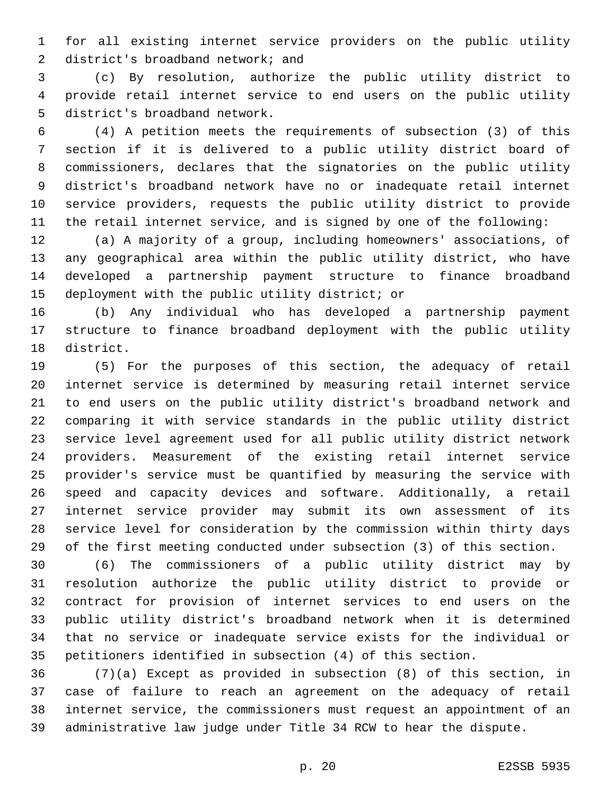for all existing internet service providers on the public utility 2 district's broadband network; and

 (c) By resolution, authorize the public utility district to provide retail internet service to end users on the public utility 5 district's broadband network.

 (4) A petition meets the requirements of subsection (3) of this section if it is delivered to a public utility district board of commissioners, declares that the signatories on the public utility district's broadband network have no or inadequate retail internet service providers, requests the public utility district to provide the retail internet service, and is signed by one of the following:

 (a) A majority of a group, including homeowners' associations, of any geographical area within the public utility district, who have developed a partnership payment structure to finance broadband 15 deployment with the public utility district; or

 (b) Any individual who has developed a partnership payment structure to finance broadband deployment with the public utility 18 district.

 (5) For the purposes of this section, the adequacy of retail internet service is determined by measuring retail internet service to end users on the public utility district's broadband network and comparing it with service standards in the public utility district service level agreement used for all public utility district network providers. Measurement of the existing retail internet service provider's service must be quantified by measuring the service with speed and capacity devices and software. Additionally, a retail internet service provider may submit its own assessment of its service level for consideration by the commission within thirty days of the first meeting conducted under subsection (3) of this section.

 (6) The commissioners of a public utility district may by resolution authorize the public utility district to provide or contract for provision of internet services to end users on the public utility district's broadband network when it is determined that no service or inadequate service exists for the individual or petitioners identified in subsection (4) of this section.

 (7)(a) Except as provided in subsection (8) of this section, in case of failure to reach an agreement on the adequacy of retail internet service, the commissioners must request an appointment of an administrative law judge under Title 34 RCW to hear the dispute.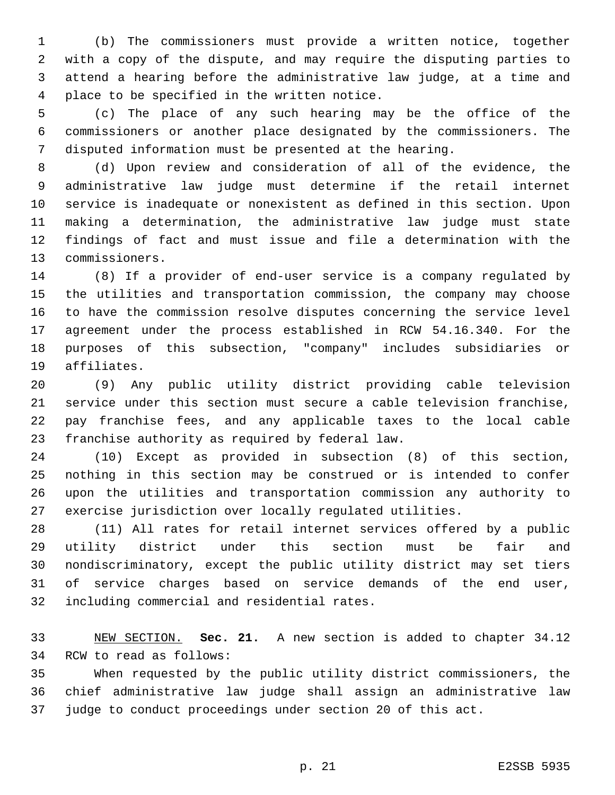(b) The commissioners must provide a written notice, together with a copy of the dispute, and may require the disputing parties to attend a hearing before the administrative law judge, at a time and 4 place to be specified in the written notice.

 (c) The place of any such hearing may be the office of the commissioners or another place designated by the commissioners. The disputed information must be presented at the hearing.

 (d) Upon review and consideration of all of the evidence, the administrative law judge must determine if the retail internet service is inadequate or nonexistent as defined in this section. Upon making a determination, the administrative law judge must state findings of fact and must issue and file a determination with the 13 commissioners.

 (8) If a provider of end-user service is a company regulated by the utilities and transportation commission, the company may choose to have the commission resolve disputes concerning the service level agreement under the process established in RCW 54.16.340. For the purposes of this subsection, "company" includes subsidiaries or 19 affiliates.

 (9) Any public utility district providing cable television service under this section must secure a cable television franchise, pay franchise fees, and any applicable taxes to the local cable 23 franchise authority as required by federal law.

 (10) Except as provided in subsection (8) of this section, nothing in this section may be construed or is intended to confer upon the utilities and transportation commission any authority to exercise jurisdiction over locally regulated utilities.

 (11) All rates for retail internet services offered by a public utility district under this section must be fair and nondiscriminatory, except the public utility district may set tiers of service charges based on service demands of the end user, 32 including commercial and residential rates.

 NEW SECTION. **Sec. 21.** A new section is added to chapter 34.12 34 RCW to read as follows:

 When requested by the public utility district commissioners, the chief administrative law judge shall assign an administrative law judge to conduct proceedings under section 20 of this act.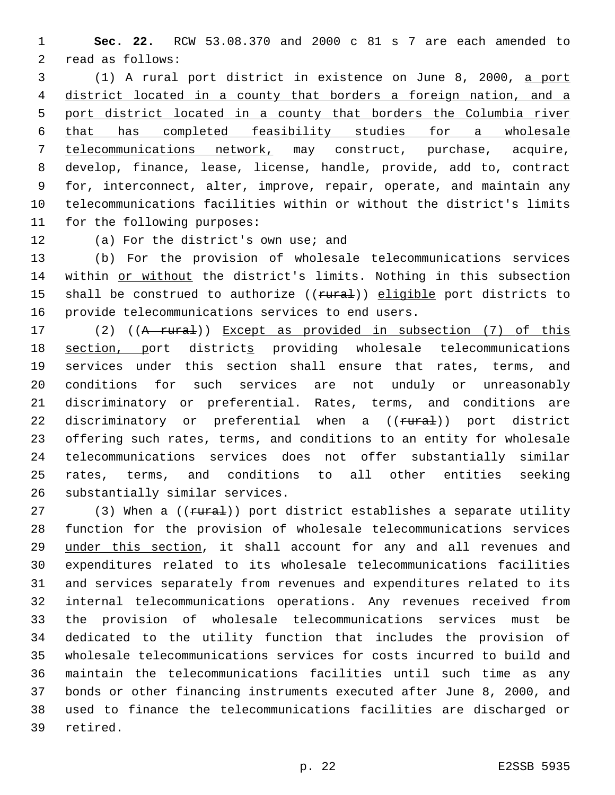**Sec. 22.** RCW 53.08.370 and 2000 c 81 s 7 are each amended to 2 read as follows:

 (1) A rural port district in existence on June 8, 2000, a port district located in a county that borders a foreign nation, and a port district located in a county that borders the Columbia river that has completed feasibility studies for a wholesale telecommunications network, may construct, purchase, acquire, develop, finance, lease, license, handle, provide, add to, contract for, interconnect, alter, improve, repair, operate, and maintain any telecommunications facilities within or without the district's limits 11 for the following purposes:

12 (a) For the district's own use; and

 (b) For the provision of wholesale telecommunications services 14 within or without the district's limits. Nothing in this subsection 15 shall be construed to authorize ((rural)) eligible port districts to 16 provide telecommunications services to end users.

17 (2) ((A rural)) Except as provided in subsection (7) of this section, port districts providing wholesale telecommunications services under this section shall ensure that rates, terms, and conditions for such services are not unduly or unreasonably discriminatory or preferential. Rates, terms, and conditions are 22 discriminatory or preferential when a ((<del>rural</del>)) port district offering such rates, terms, and conditions to an entity for wholesale telecommunications services does not offer substantially similar rates, terms, and conditions to all other entities seeking 26 substantially similar services.

27 (3) When a ((rural)) port district establishes a separate utility function for the provision of wholesale telecommunications services under this section, it shall account for any and all revenues and expenditures related to its wholesale telecommunications facilities and services separately from revenues and expenditures related to its internal telecommunications operations. Any revenues received from the provision of wholesale telecommunications services must be dedicated to the utility function that includes the provision of wholesale telecommunications services for costs incurred to build and maintain the telecommunications facilities until such time as any bonds or other financing instruments executed after June 8, 2000, and used to finance the telecommunications facilities are discharged or 39 retired.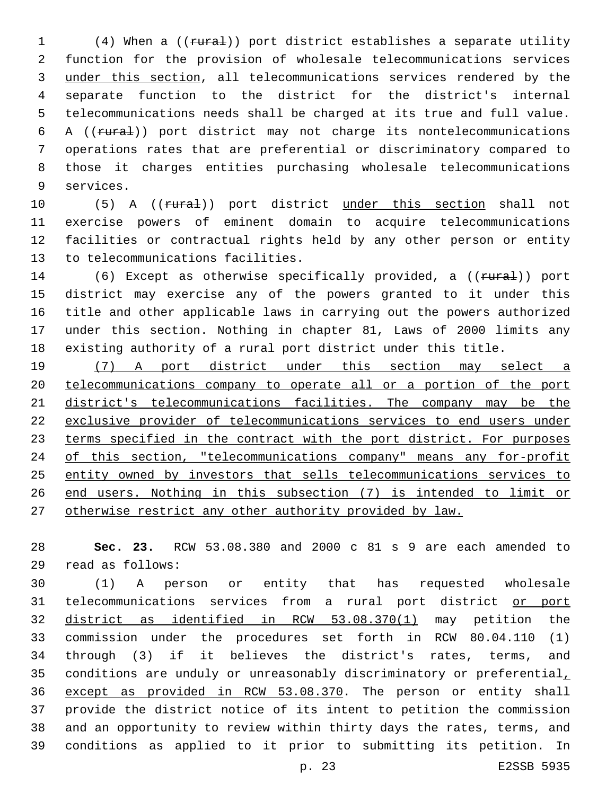1 (4) When a ((rural)) port district establishes a separate utility function for the provision of wholesale telecommunications services under this section, all telecommunications services rendered by the separate function to the district for the district's internal telecommunications needs shall be charged at its true and full value. A ((rural)) port district may not charge its nontelecommunications operations rates that are preferential or discriminatory compared to those it charges entities purchasing wholesale telecommunications 9 services.

10 (5) A ((rural)) port district under this section shall not exercise powers of eminent domain to acquire telecommunications facilities or contractual rights held by any other person or entity 13 to telecommunications facilities.

14 (6) Except as otherwise specifically provided, a ((rural)) port district may exercise any of the powers granted to it under this title and other applicable laws in carrying out the powers authorized under this section. Nothing in chapter 81, Laws of 2000 limits any existing authority of a rural port district under this title.

 (7) A port district under this section may select a telecommunications company to operate all or a portion of the port district's telecommunications facilities. The company may be the exclusive provider of telecommunications services to end users under 23 terms specified in the contract with the port district. For purposes 24 of this section, "telecommunications company" means any for-profit entity owned by investors that sells telecommunications services to end users. Nothing in this subsection (7) is intended to limit or otherwise restrict any other authority provided by law.

 **Sec. 23.** RCW 53.08.380 and 2000 c 81 s 9 are each amended to read as follows:29

 (1) A person or entity that has requested wholesale 31 telecommunications services from a rural port district or port district as identified in RCW 53.08.370(1) may petition the commission under the procedures set forth in RCW 80.04.110 (1) through (3) if it believes the district's rates, terms, and conditions are unduly or unreasonably discriminatory or preferential, except as provided in RCW 53.08.370. The person or entity shall provide the district notice of its intent to petition the commission and an opportunity to review within thirty days the rates, terms, and conditions as applied to it prior to submitting its petition. In

p. 23 E2SSB 5935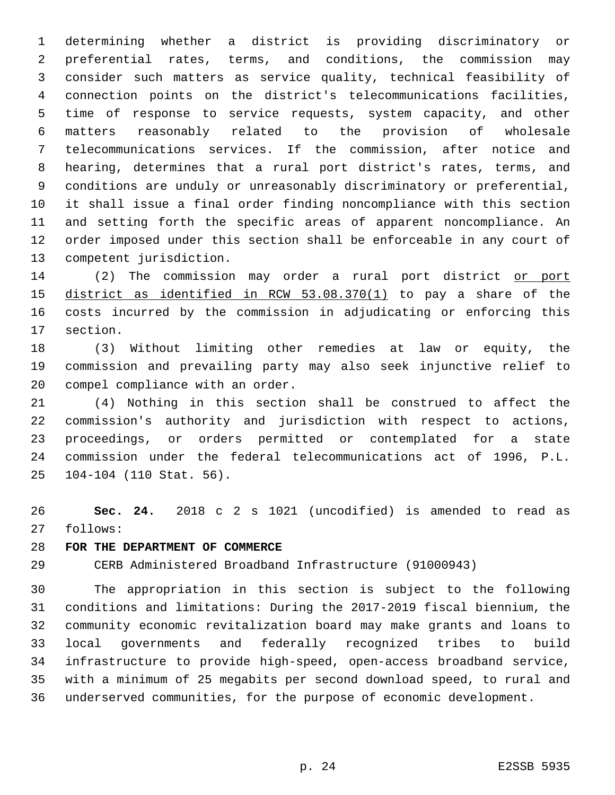determining whether a district is providing discriminatory or preferential rates, terms, and conditions, the commission may consider such matters as service quality, technical feasibility of connection points on the district's telecommunications facilities, time of response to service requests, system capacity, and other matters reasonably related to the provision of wholesale telecommunications services. If the commission, after notice and hearing, determines that a rural port district's rates, terms, and conditions are unduly or unreasonably discriminatory or preferential, it shall issue a final order finding noncompliance with this section and setting forth the specific areas of apparent noncompliance. An order imposed under this section shall be enforceable in any court of 13 competent jurisdiction.

14 (2) The commission may order a rural port district or port district as identified in RCW 53.08.370(1) to pay a share of the costs incurred by the commission in adjudicating or enforcing this 17 section.

 (3) Without limiting other remedies at law or equity, the commission and prevailing party may also seek injunctive relief to 20 compel compliance with an order.

 (4) Nothing in this section shall be construed to affect the commission's authority and jurisdiction with respect to actions, proceedings, or orders permitted or contemplated for a state commission under the federal telecommunications act of 1996, P.L. 25 104-104 (110 Stat. 56).

 **Sec. 24.** 2018 c 2 s 1021 (uncodified) is amended to read as 27 follows:

## **FOR THE DEPARTMENT OF COMMERCE**

CERB Administered Broadband Infrastructure (91000943)

 The appropriation in this section is subject to the following conditions and limitations: During the 2017-2019 fiscal biennium, the community economic revitalization board may make grants and loans to local governments and federally recognized tribes to build infrastructure to provide high-speed, open-access broadband service, with a minimum of 25 megabits per second download speed, to rural and underserved communities, for the purpose of economic development.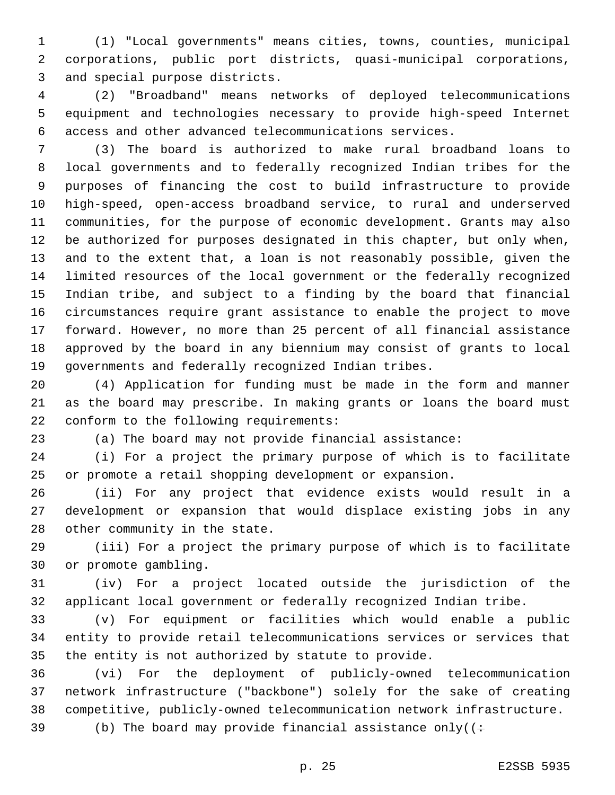(1) "Local governments" means cities, towns, counties, municipal corporations, public port districts, quasi-municipal corporations, 3 and special purpose districts.

 (2) "Broadband" means networks of deployed telecommunications equipment and technologies necessary to provide high-speed Internet access and other advanced telecommunications services.

 (3) The board is authorized to make rural broadband loans to local governments and to federally recognized Indian tribes for the purposes of financing the cost to build infrastructure to provide high-speed, open-access broadband service, to rural and underserved communities, for the purpose of economic development. Grants may also be authorized for purposes designated in this chapter, but only when, and to the extent that, a loan is not reasonably possible, given the limited resources of the local government or the federally recognized Indian tribe, and subject to a finding by the board that financial circumstances require grant assistance to enable the project to move forward. However, no more than 25 percent of all financial assistance approved by the board in any biennium may consist of grants to local governments and federally recognized Indian tribes.

 (4) Application for funding must be made in the form and manner as the board may prescribe. In making grants or loans the board must 22 conform to the following requirements:

(a) The board may not provide financial assistance:

 (i) For a project the primary purpose of which is to facilitate or promote a retail shopping development or expansion.

 (ii) For any project that evidence exists would result in a development or expansion that would displace existing jobs in any 28 other community in the state.

 (iii) For a project the primary purpose of which is to facilitate 30 or promote gambling.

 (iv) For a project located outside the jurisdiction of the applicant local government or federally recognized Indian tribe.

 (v) For equipment or facilities which would enable a public entity to provide retail telecommunications services or services that the entity is not authorized by statute to provide.

 (vi) For the deployment of publicly-owned telecommunication network infrastructure ("backbone") solely for the sake of creating competitive, publicly-owned telecommunication network infrastructure.

39 (b) The board may provide financial assistance only( $\div$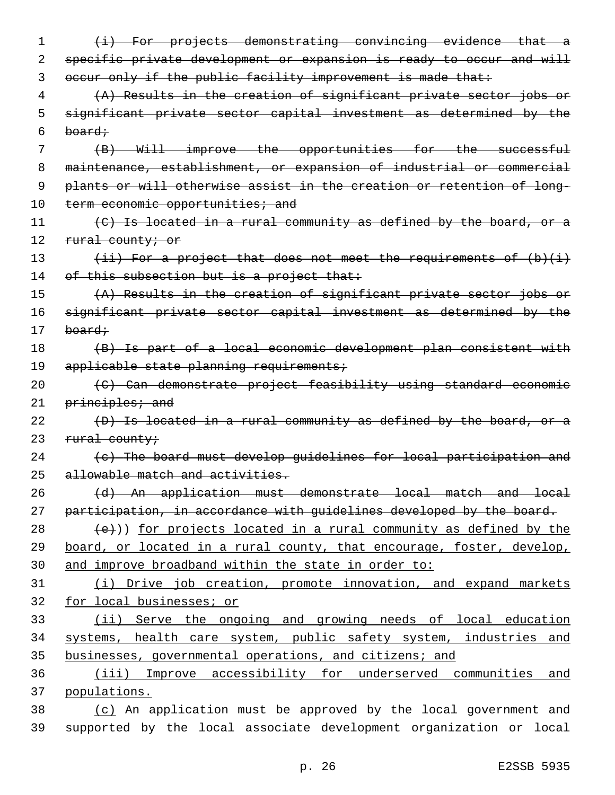| 1  | (i) For projects demonstrating convincing evidence that a                      |
|----|--------------------------------------------------------------------------------|
| 2  | specific private development or expansion is ready to occur and will           |
| 3  | occur only if the public facility improvement is made that:                    |
| 4  | (A) Results in the creation of significant private sector jobs or              |
| 5  | significant private sector capital investment as determined by the             |
| 6  | <del>board;</del>                                                              |
| 7  | (B) Will improve the opportunities for the successful                          |
| 8  | maintenance, establishment, or expansion of industrial or commercial           |
| 9  | plants or will otherwise assist in the creation or retention of long-          |
| 10 | term economic opportunities; and                                               |
| 11 | (C) Is located in a rural community as defined by the board, or a              |
| 12 | rural county; or                                                               |
| 13 | $(i\texttt{i})$ For a project that does not meet the requirements of $(b)(i+)$ |
| 14 | of this subsection but is a project that:                                      |
| 15 | (A) Results in the creation of significant private sector jobs or              |
| 16 | significant private sector capital investment as determined by the             |
| 17 | board;                                                                         |
| 18 | (B) Is part of a local economic development plan consistent with               |
| 19 | applicable state planning requirements;                                        |
| 20 | (C) Can demonstrate project feasibility using standard economic                |
| 21 | principles; and                                                                |
| 22 | (D) Is located in a rural community as defined by the board, or a              |
| 23 | rural county;                                                                  |
| 24 | (c) The board must develop quidelines for local participation and              |
| 25 | allowable match and activities.                                                |
| 26 | (d) An application must demonstrate local match and local                      |
| 27 | participation, in accordance with quidelines developed by the board.           |
| 28 | (e))) for projects located in a rural community as defined by the              |
| 29 | board, or located in a rural county, that encourage, foster, develop,          |
| 30 | and improve broadband within the state in order to:                            |
| 31 | (i) Drive job creation, promote innovation, and expand markets                 |
| 32 | for local businesses; or                                                       |
| 33 | (ii) Serve the ongoing and growing needs of local education                    |
| 34 | systems, health care system, public safety system, industries and              |
| 35 | businesses, governmental operations, and citizens; and                         |
| 36 | (iii) Improve accessibility for underserved communities and                    |
| 37 | populations.                                                                   |
| 38 | (c) An application must be approved by the local government and                |
| 39 | supported by the local associate development organization or local             |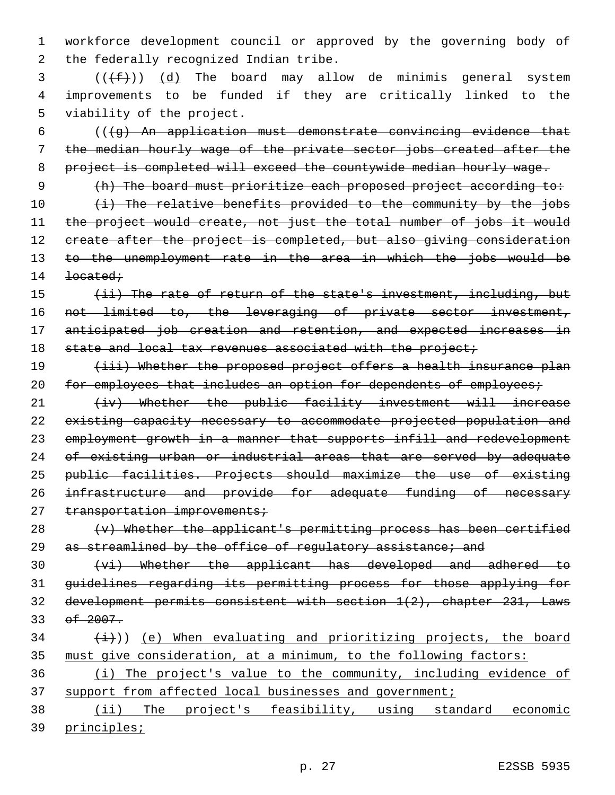1 workforce development council or approved by the governing body of 2 the federally recognized Indian tribe.

 $3$  ( $(\text{+f-})$ )  $\text{d}$ ) The board may allow de minimis general system 4 improvements to be funded if they are critically linked to the 5 viability of the project.

 $6$  (( $\{g\}$ ) An application must demonstrate convincing evidence that 7 the median hourly wage of the private sector jobs created after the 8 project is completed will exceed the countywide median hourly wage.

9 (h) The board must prioritize each proposed project according to: 10 (i) The relative benefits provided to the community by the jobs 11 the project would create, not just the total number of jobs it would 12 create after the project is completed, but also giving consideration 13 to the unemployment rate in the area in which the jobs would be  $14$  <del>located;</del>

15 (ii) The rate of return of the state's investment, including, but 16 not limited to, the leveraging of private sector investment, 17 anticipated job creation and retention, and expected increases in 18 state and local tax revenues associated with the project;

19 (iii) Whether the proposed project offers a health insurance plan 20 for employees that includes an option for dependents of employees;

21 (iv) Whether the public facility investment will increase 22 existing capacity necessary to accommodate projected population and 23 employment growth in a manner that supports infill and redevelopment 24 of existing urban or industrial areas that are served by adequate 25 public facilities. Projects should maximize the use of existing 26 infrastructure and provide for adequate funding of necessary 27 transportation improvements;

 $28$  (v) Whether the applicant's permitting process has been certified 29 as streamlined by the office of requlatory assistance; and

 (vi) Whether the applicant has developed and adhered to guidelines regarding its permitting process for those applying for development permits consistent with section 1(2), chapter 231, Laws 33 of 2007.

 $34$   $(\frac{1}{2})$ ) (e) When evaluating and prioritizing projects, the board 35 must give consideration, at a minimum, to the following factors:

36 (i) The project's value to the community, including evidence of 37 support from affected local businesses and government;

38 (ii) The project's feasibility, using standard economic 39 principles;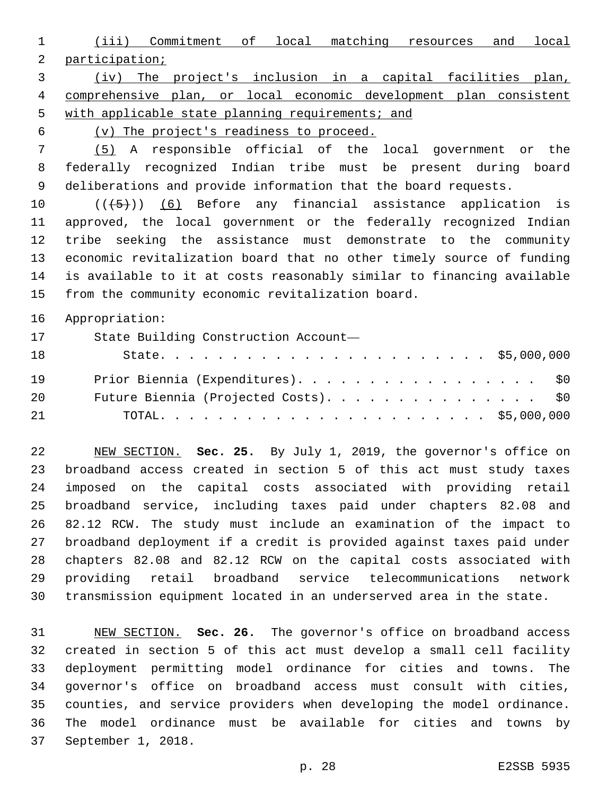(iii) Commitment of local matching resources and local participation;

 (iv) The project's inclusion in a capital facilities plan, comprehensive plan, or local economic development plan consistent 5 with applicable state planning requirements; and

(v) The project's readiness to proceed.

 (5) A responsible official of the local government or the federally recognized Indian tribe must be present during board deliberations and provide information that the board requests.

10 (((+5))) (6) Before any financial assistance application is approved, the local government or the federally recognized Indian tribe seeking the assistance must demonstrate to the community economic revitalization board that no other timely source of funding is available to it at costs reasonably similar to financing available 15 from the community economic revitalization board.

Appropriation:

| 17  | State Building Construction Account-  |  |
|-----|---------------------------------------|--|
| 18  |                                       |  |
| 19  | Prior Biennia (Expenditures). \$0     |  |
| -20 | Future Biennia (Projected Costs). \$0 |  |
| -21 |                                       |  |

 NEW SECTION. **Sec. 25.** By July 1, 2019, the governor's office on broadband access created in section 5 of this act must study taxes imposed on the capital costs associated with providing retail broadband service, including taxes paid under chapters 82.08 and 82.12 RCW. The study must include an examination of the impact to broadband deployment if a credit is provided against taxes paid under chapters 82.08 and 82.12 RCW on the capital costs associated with providing retail broadband service telecommunications network transmission equipment located in an underserved area in the state.

 NEW SECTION. **Sec. 26.** The governor's office on broadband access created in section 5 of this act must develop a small cell facility deployment permitting model ordinance for cities and towns. The governor's office on broadband access must consult with cities, counties, and service providers when developing the model ordinance. The model ordinance must be available for cities and towns by September 1, 2018.